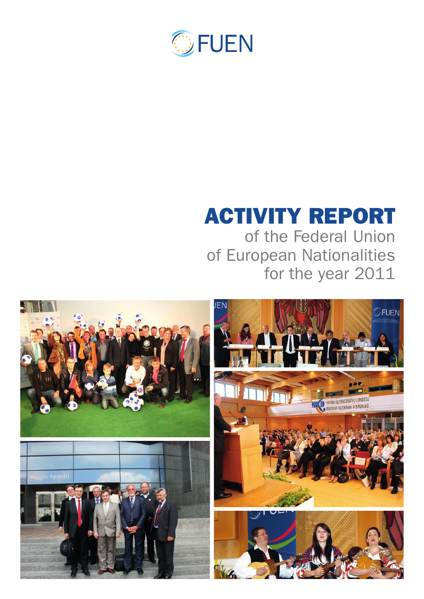

# Activity report

of the Federal Union of European Nationalities for the year 2011

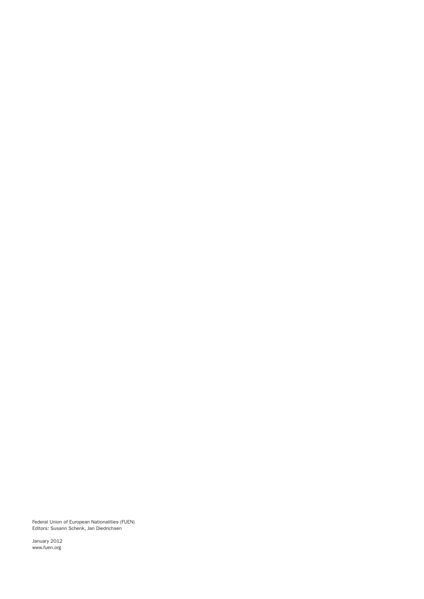Federal Union of European Nationalities (FUEN) Editors: Susann Schenk, Jan Diedrichsen

January 2012 www.fuen.org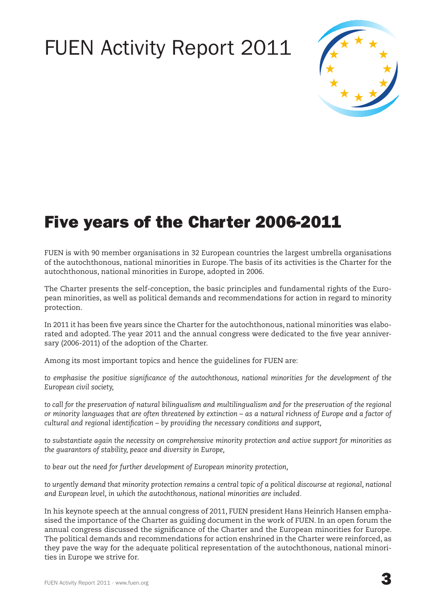## FUEN Activity Report 2011



### Five years of the Charter 2006-2011

FUEN is with 90 member organisations in 32 European countries the largest umbrella organisations of the autochthonous, national minorities in Europe. The basis of its activities is the Charter for the autochthonous, national minorities in Europe, adopted in 2006.

The Charter presents the self-conception, the basic principles and fundamental rights of the European minorities, as well as political demands and recommendations for action in regard to minority protection.

In 2011 it has been five years since the Charter for the autochthonous, national minorities was elaborated and adopted. The year 2011 and the annual congress were dedicated to the five year anniversary (2006-2011) of the adoption of the Charter.

Among its most important topics and hence the guidelines for FUEN are:

*to emphasise the positive significance of the autochthonous, national minorities for the development of the European civil society,*

*to call for the preservation of natural bilingualism and multilingualism and for the preservation of the regional or minority languages that are often threatened by extinction – as a natural richness of Europe and a factor of cultural and regional identification – by providing the necessary conditions and support,*

*to substantiate again the necessity on comprehensive minority protection and active support for minorities as the guarantors of stability, peace and diversity in Europe,*

*to bear out the need for further development of European minority protection,* 

to urgently demand that minority protection remains a central topic of a political discourse at regional, national *and European level, in which the autochthonous, national minorities are included.*

In his keynote speech at the annual congress of 2011, FUEN president Hans Heinrich Hansen emphasised the importance of the Charter as guiding document in the work of FUEN. In an open forum the annual congress discussed the significance of the Charter and the European minorities for Europe. The political demands and recommendations for action enshrined in the Charter were reinforced, as they pave the way for the adequate political representation of the autochthonous, national minorities in Europe we strive for.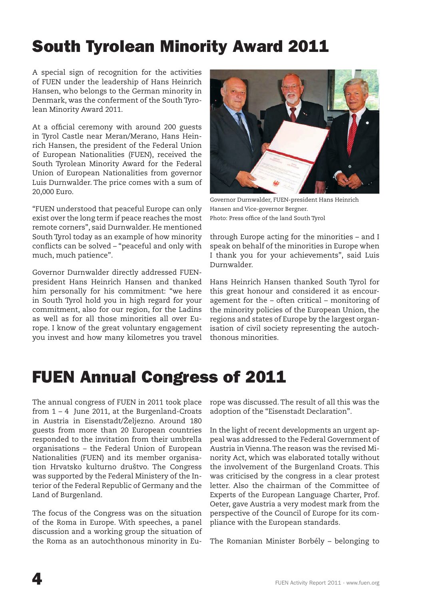### South Tyrolean Minority Award 2011

A special sign of recognition for the activities of FUEN under the leadership of Hans Heinrich Hansen, who belongs to the German minority in Denmark, was the conferment of the South Tyrolean Minority Award 2011.

At a official ceremony with around 200 guests in Tyrol Castle near Meran/Merano, Hans Heinrich Hansen, the president of the Federal Union of European Nationalities (FUEN), received the South Tyrolean Minority Award for the Federal Union of European Nationalities from governor Luis Durnwalder. The price comes with a sum of 20,000 Euro.

"FUEN understood that peaceful Europe can only exist over the long term if peace reaches the most remote corners", said Durnwalder. He mentioned South Tyrol today as an example of how minority conflicts can be solved – "peaceful and only with much, much patience".

Governor Durnwalder directly addressed FUENpresident Hans Heinrich Hansen and thanked him personally for his commitment: "we here in South Tyrol hold you in high regard for your commitment, also for our region, for the Ladins as well as for all those minorities all over Europe. I know of the great voluntary engagement you invest and how many kilometres you travel



Governor Durnwalder, FUEN-president Hans Heinrich Hansen and Vice-governor Bergner. Photo: Press office of the land South Tyrol

through Europe acting for the minorities – and I speak on behalf of the minorities in Europe when I thank you for your achievements", said Luis Durnwalder.

Hans Heinrich Hansen thanked South Tyrol for this great honour and considered it as encouragement for the – often critical – monitoring of the minority policies of the European Union, the regions and states of Europe by the largest organisation of civil society representing the autochthonous minorities.

### FUEN Annual Congress of 2011

The annual congress of FUEN in 2011 took place from 1 – 4 June 2011, at the Burgenland-Croats in Austria in Eisenstadt/Željezno. Around 180 guests from more than 20 European countries responded to the invitation from their umbrella organisations – the Federal Union of European Nationalities (FUEN) and its member organisation Hrvatsko kulturno društvo. The Congress was supported by the Federal Ministery of the Interior of the Federal Republic of Germany and the Land of Burgenland.

The focus of the Congress was on the situation of the Roma in Europe. With speeches, a panel discussion and a working group the situation of the Roma as an autochthonous minority in Europe was discussed. The result of all this was the adoption of the "Eisenstadt Declaration".

In the light of recent developments an urgent appeal was addressed to the Federal Government of Austria in Vienna. The reason was the revised Minority Act, which was elaborated totally without the involvement of the Burgenland Croats. This was criticised by the congress in a clear protest letter. Also the chairman of the Committee of Experts of the European Language Charter, Prof. Oeter, gave Austria a very modest mark from the perspective of the Council of Europe for its compliance with the European standards.

The Romanian Minister Borbély – belonging to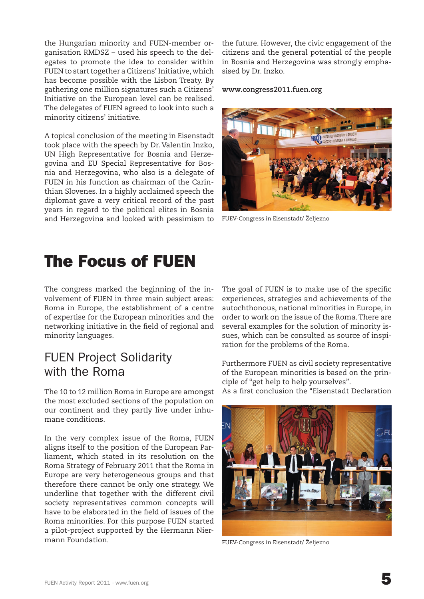the Hungarian minority and FUEN-member organisation RMDSZ – used his speech to the delegates to promote the idea to consider within FUEN to start together a Citizens' Initiative, which has become possible with the Lisbon Treaty. By gathering one million signatures such a Citizens' Initiative on the European level can be realised. The delegates of FUEN agreed to look into such a minority citizens' initiative.

A topical conclusion of the meeting in Eisenstadt took place with the speech by Dr. Valentin Inzko, UN High Representative for Bosnia and Herzegovina and EU Special Representative for Bosnia and Herzegovina, who also is a delegate of FUEN in his function as chairman of the Carinthian Slovenes. In a highly acclaimed speech the diplomat gave a very critical record of the past years in regard to the political elites in Bosnia and Herzegovina and looked with pessimism to the future. However, the civic engagement of the citizens and the general potential of the people in Bosnia and Herzegovina was strongly emphasised by Dr. Inzko.

#### **www.congress2011.fuen.org**

![](_page_4_Picture_4.jpeg)

FUEV-Congress in Eisenstadt/ Željezno

### The Focus of FUEN

The congress marked the beginning of the involvement of FUEN in three main subject areas: Roma in Europe, the establishment of a centre of expertise for the European minorities and the networking initiative in the field of regional and minority languages.

#### FUEN Project Solidarity with the Roma

The 10 to 12 million Roma in Europe are amongst the most excluded sections of the population on our continent and they partly live under inhumane conditions.

In the very complex issue of the Roma, FUEN aligns itself to the position of the European Parliament, which stated in its resolution on the Roma Strategy of February 2011 that the Roma in Europe are very heterogeneous groups and that therefore there cannot be only one strategy. We underline that together with the different civil society representatives common concepts will have to be elaborated in the field of issues of the Roma minorities. For this purpose FUEN started a pilot-project supported by the Hermann Niermann Foundation.

The goal of FUEN is to make use of the specific experiences, strategies and achievements of the autochthonous, national minorities in Europe, in order to work on the issue of the Roma. There are several examples for the solution of minority issues, which can be consulted as source of inspiration for the problems of the Roma.

Furthermore FUEN as civil society representative of the European minorities is based on the principle of "get help to help yourselves".

As a first conclusion the "Eisenstadt Declaration

![](_page_4_Picture_14.jpeg)

FUEV-Congress in Eisenstadt/ Željezno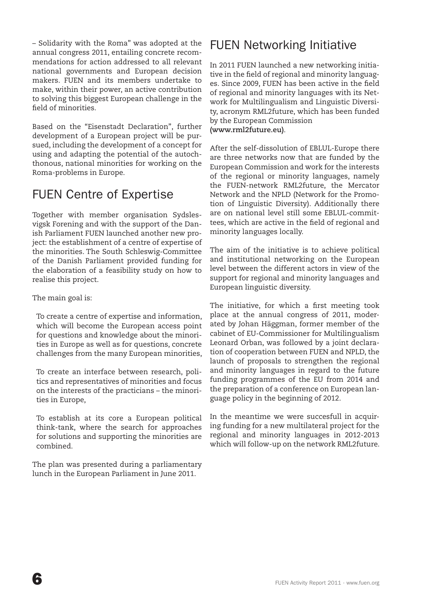– Solidarity with the Roma" was adopted at the annual congress 2011, entailing concrete recommendations for action addressed to all relevant national governments and European decision makers. FUEN and its members undertake to make, within their power, an active contribution to solving this biggest European challenge in the field of minorities.

Based on the "Eisenstadt Declaration", further development of a European project will be pursued, including the development of a concept for using and adapting the potential of the autochthonous, national minorities for working on the Roma-problems in Europe.

#### FUEN Centre of Expertise

Together with member organisation Sydslesvigsk Forening and with the support of the Danish Parliament FUEN launched another new project: the establishment of a centre of expertise of the minorities. The South Schleswig-Committee of the Danish Parliament provided funding for the elaboration of a feasibility study on how to realise this project.

The main goal is:

To create a centre of expertise and information, which will become the European access point for questions and knowledge about the minorities in Europe as well as for questions, concrete challenges from the many European minorities,

To create an interface between research, politics and representatives of minorities and focus on the interests of the practicians – the minorities in Europe,

To establish at its core a European political think-tank, where the search for approaches for solutions and supporting the minorities are combined.

The plan was presented during a parliamentary lunch in the European Parliament in June 2011.

#### FUEN Networking Initiative

In 2011 FUEN launched a new networking initiative in the field of regional and minority languages. Since 2009, FUEN has been active in the field of regional and minority languages with its Network for Multilingualism and Linguistic Diversity, acronym RML2future, which has been funded by the European Commission **(www.rml2future.eu)**.

After the self-dissolution of EBLUL-Europe there are three networks now that are funded by the European Commission and work for the interests of the regional or minority languages, namely the FUEN-network RML2future, the Mercator Network and the NPLD (Network for the Promotion of Linguistic Diversity). Additionally there are on national level still some EBLUL-committees, which are active in the field of regional and minority languages locally.

The aim of the initiative is to achieve political and institutional networking on the European level between the different actors in view of the support for regional and minority languages and European linguistic diversity.

The initiative, for which a first meeting took place at the annual congress of 2011, moderated by Johan Häggman, former member of the cabinet of EU-Commissioner for Multilingualism Leonard Orban, was followed by a joint declaration of cooperation between FUEN and NPLD, the launch of proposals to strengthen the regional and minority languages in regard to the future funding programmes of the EU from 2014 and the preparation of a conference on European language policy in the beginning of 2012.

In the meantime we were succesfull in acquiring funding for a new multilateral project for the regional and minority languages in 2012-2013 which will follow-up on the network RML2future.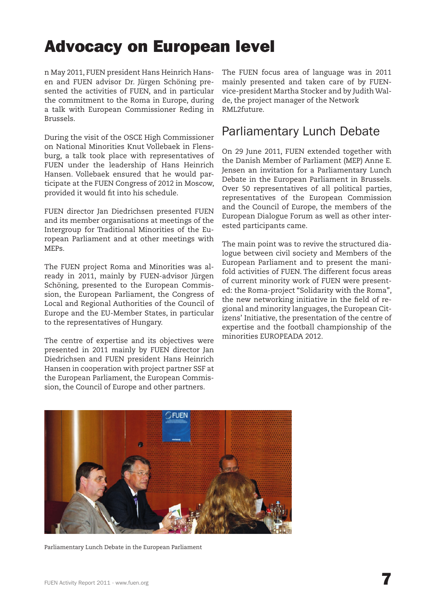### Advocacy on European level

n May 2011, FUEN president Hans Heinrich Hansen and FUEN advisor Dr. Jürgen Schöning presented the activities of FUEN, and in particular the commitment to the Roma in Europe, during a talk with European Commissioner Reding in Brussels.

During the visit of the OSCE High Commissioner on National Minorities Knut Vollebaek in Flensburg, a talk took place with representatives of FUEN under the leadership of Hans Heinrich Hansen. Vollebaek ensured that he would participate at the FUEN Congress of 2012 in Moscow, provided it would fit into his schedule.

FUEN director Jan Diedrichsen presented FUEN and its member organisations at meetings of the Intergroup for Traditional Minorities of the European Parliament and at other meetings with MEPs.

The FUEN project Roma and Minorities was already in 2011, mainly by FUEN-advisor Jürgen Schöning, presented to the European Commission, the European Parliament, the Congress of Local and Regional Authorities of the Council of Europe and the EU-Member States, in particular to the representatives of Hungary.

The centre of expertise and its objectives were presented in 2011 mainly by FUEN director Jan Diedrichsen and FUEN president Hans Heinrich Hansen in cooperation with project partner SSF at the European Parliament, the European Commission, the Council of Europe and other partners.

The FUEN focus area of language was in 2011 mainly presented and taken care of by FUENvice-president Martha Stocker and by Judith Walde, the project manager of the Network RML2future.

#### Parliamentary Lunch Debate

On 29 June 2011, FUEN extended together with the Danish Member of Parliament (MEP) Anne E. Jensen an invitation for a Parliamentary Lunch Debate in the European Parliament in Brussels. Over 50 representatives of all political parties, representatives of the European Commission and the Council of Europe, the members of the European Dialogue Forum as well as other interested participants came.

The main point was to revive the structured dialogue between civil society and Members of the European Parliament and to present the manifold activities of FUEN. The different focus areas of current minority work of FUEN were presented: the Roma-project "Solidarity with the Roma", the new networking initiative in the field of regional and minority languages, the European Citizens' Initiative, the presentation of the centre of expertise and the football championship of the minorities EUROPEADA 2012.

![](_page_6_Picture_10.jpeg)

Parliamentary Lunch Debate in the European Parliament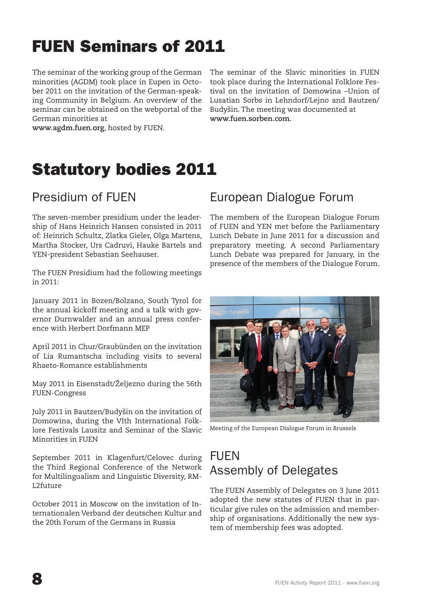### FUEN Seminars of 2011

The seminar of the working group of the German minorities (AGDM) took place in Eupen in October 2011 on the invitation of the German-speaking Community in Belgium. An overview of the seminar can be obtained on the webportal of the German minorities at

The seminar of the Slavic minorities in FUEN took place during the International Folklore Festival on the invitation of Domowina –Union of Lusatian Sorbs in Lehndorf/Lejno and Bautzen/ Budyšin. The meeting was documented at **www.fuen.sorben.com.** 

**www.agdm.fuen.org**, hosted by FUEN.

### Statutory bodies 2011

#### Presidium of FUEN

The seven-member presidium under the leadership of Hans Heinrich Hansen consisted in 2011 of: Heinrich Schultz, Zlatka Gieler, Olga Martens, Martha Stocker, Urs Cadruvi, Hauke Bartels and YEN-president Sebastian Seehauser.

The FUEN Presidium had the following meetings in 2011:

January 2011 in Bozen/Bolzano, South Tyrol for the annual kickoff meeting and a talk with governor Durnwalder and an annual press conference with Herbert Dorfmann MEP

April 2011 in Chur/Graubünden on the invitation of Lia Rumantscha including visits to several Rhaeto-Romance establishments

May 2011 in Eisenstadt/Željezno during the 56th FUEN-Congress

July 2011 in Bautzen/Budyšin on the invitation of Domowina, during the VIth International Folklore Festivals Lausitz and Seminar of the Slavic Minorities in FUEN

September 2011 in Klagenfurt/Celovec during the Third Regional Conference of the Network for Multilingualism and Linguistic Diversity, RM-L2future

October 2011 in Moscow on the invitation of Internationalen Verband der deutschen Kultur and the 20th Forum of the Germans in Russia

#### European Dialogue Forum

The members of the European Dialogue Forum of FUEN and YEN met before the Parliamentary Lunch Debate in June 2011 for a discussion and preparatory meeting. A second Parliamentary Lunch Debate was prepared for January, in the presence of the members of the Dialogue Forum.

![](_page_7_Picture_16.jpeg)

Meeting of the European Dialogue Forum in Brussels

#### **FUEN** Assembly of Delegates

The FUEN Assembly of Delegates on 3 June 2011 adopted the new statutes of FUEN that in particular give rules on the admission and membership of organisations. Additionally the new system of membership fees was adopted.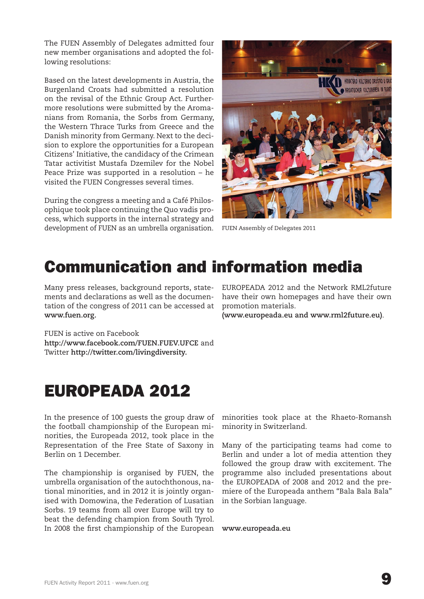The FUEN Assembly of Delegates admitted four new member organisations and adopted the following resolutions:

Based on the latest developments in Austria, the Burgenland Croats had submitted a resolution on the revisal of the Ethnic Group Act. Furthermore resolutions were submitted by the Aromanians from Romania, the Sorbs from Germany, the Western Thrace Turks from Greece and the Danish minority from Germany. Next to the decision to explore the opportunities for a European Citizens' Initiative, the candidacy of the Crimean Tatar activitist Mustafa Dzemilev for the Nobel Peace Prize was supported in a resolution – he visited the FUEN Congresses several times.

During the congress a meeting and a Café Philosophique took place continuing the Quo vadis process, which supports in the internal strategy and development of FUEN as an umbrella organisation.

![](_page_8_Picture_3.jpeg)

FUEN Assembly of Delegates 2011

### Communication and information media

Many press releases, background reports, statements and declarations as well as the documentation of the congress of 2011 can be accessed at **www.fuen.org.**

EUROPEADA 2012 and the Network RML2future have their own homepages and have their own promotion materials.

**(www.europeada.eu and www.rml2future.eu)**.

FUEN is active on Facebook **http://www.facebook.com/FUEN.FUEV.UFCE** and Twitter **http://twitter.com/livingdiversity.**

### EUROPEADA 2012

In the presence of 100 guests the group draw of the football championship of the European minorities, the Europeada 2012, took place in the Representation of the Free State of Saxony in Berlin on 1 December.

The championship is organised by FUEN, the umbrella organisation of the autochthonous, national minorities, and in 2012 it is jointly organised with Domowina, the Federation of Lusatian Sorbs. 19 teams from all over Europe will try to beat the defending champion from South Tyrol. In 2008 the first championship of the European **www.europeada.eu**

minorities took place at the Rhaeto-Romansh minority in Switzerland.

Many of the participating teams had come to Berlin and under a lot of media attention they followed the group draw with excitement. The programme also included presentations about the EUROPEADA of 2008 and 2012 and the premiere of the Europeada anthem "Bala Bala Bala" in the Sorbian language.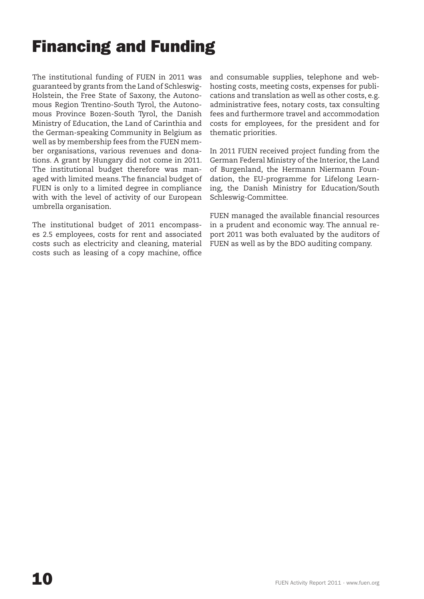## Financing and Funding

The institutional funding of FUEN in 2011 was guaranteed by grants from the Land of Schleswig-Holstein, the Free State of Saxony, the Autonomous Region Trentino-South Tyrol, the Autonomous Province Bozen-South Tyrol, the Danish Ministry of Education, the Land of Carinthia and the German-speaking Community in Belgium as well as by membership fees from the FUEN member organisations, various revenues and donations. A grant by Hungary did not come in 2011. The institutional budget therefore was managed with limited means. The financial budget of FUEN is only to a limited degree in compliance with with the level of activity of our European umbrella organisation.

The institutional budget of 2011 encompasses 2.5 employees, costs for rent and associated costs such as electricity and cleaning, material costs such as leasing of a copy machine, office

and consumable supplies, telephone and webhosting costs, meeting costs, expenses for publications and translation as well as other costs, e.g. administrative fees, notary costs, tax consulting fees and furthermore travel and accommodation costs for employees, for the president and for thematic priorities.

In 2011 FUEN received project funding from the German Federal Ministry of the Interior, the Land of Burgenland, the Hermann Niermann Foundation, the EU-programme for Lifelong Learning, the Danish Ministry for Education/South Schleswig-Committee.

FUEN managed the available financial resources in a prudent and economic way. The annual report 2011 was both evaluated by the auditors of FUEN as well as by the BDO auditing company.